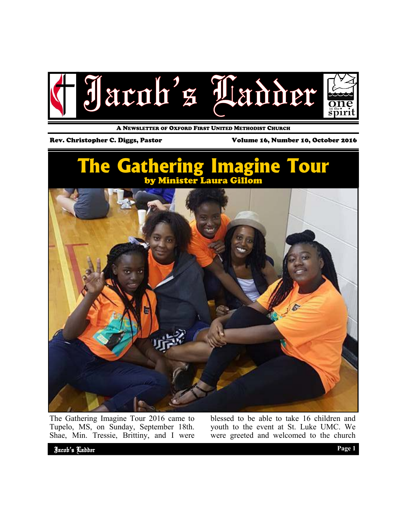

A NEWSLETTER OF OXFORD FIRST UNITED METHODIST CHURCH

Rev. Christopher C. Diggs, Pastor Volume 16, Number 10, October 2016



The Gathering Imagine Tour 2016 came to Tupelo, MS, on Sunday, September 18th. Shae, Min. Tressie, Brittiny, and I were

blessed to be able to take 16 children and youth to the event at St. Luke UMC. We were greeted and welcomed to the church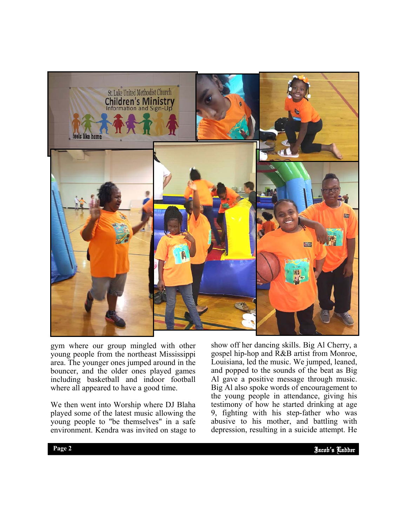

gym where our group mingled with other young people from the northeast Mississippi area. The younger ones jumped around in the bouncer, and the older ones played games including basketball and indoor football where all appeared to have a good time.

We then went into Worship where DJ Blaha played some of the latest music allowing the young people to "be themselves" in a safe environment. Kendra was invited on stage to

9, fighting with his step-father who was show off her dancing skills. Big Al Cherry, a gospel hip-hop and R&B artist from Monroe, Louisiana, led the music. We jumped, leaned, and popped to the sounds of the beat as Big Al gave a positive message through music. Big Al also spoke words of encouragement to the young people in attendance, giving his testimony of how he started drinking at age abusive to his mother, and battling with depression, resulting in a suicide attempt. He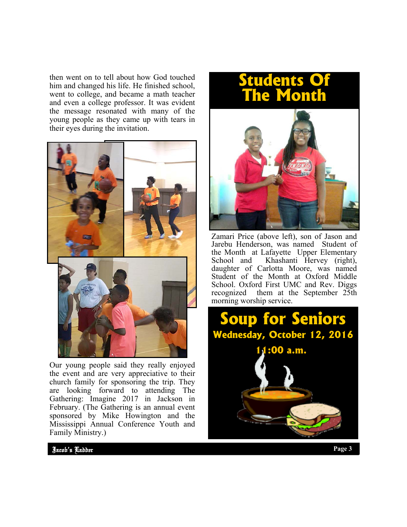then went on to tell about how God touched him and changed his life. He finished school, went to college, and became a math teacher and even a college professor. It was evident the message resonated with many of the young people as they came up with tears in their eyes during the invitation.



Our young people said they really enjoyed the event and are very appreciative to their church family for sponsoring the trip. They are looking forward to attending The Gathering: Imagine 2017 in Jackson in February. (The Gathering is an annual event sponsored by Mike Howington and the Mississippi Annual Conference Youth and Family Ministry.)

## **Students Of The Month**



Zamari Price (above left), son of Jason and Jarebu Henderson, was named Student of the Month at Lafayette Upper Elementary School and Khashanti Hervey (right), daughter of Carlotta Moore, was named Student of the Month at Oxford Middle School. Oxford First UMC and Rev. Diggs recognized them at the September 25th morning worship service.



Jacob's Ladder Page 2 **Page 3 Page 3** Jacob's Ladder